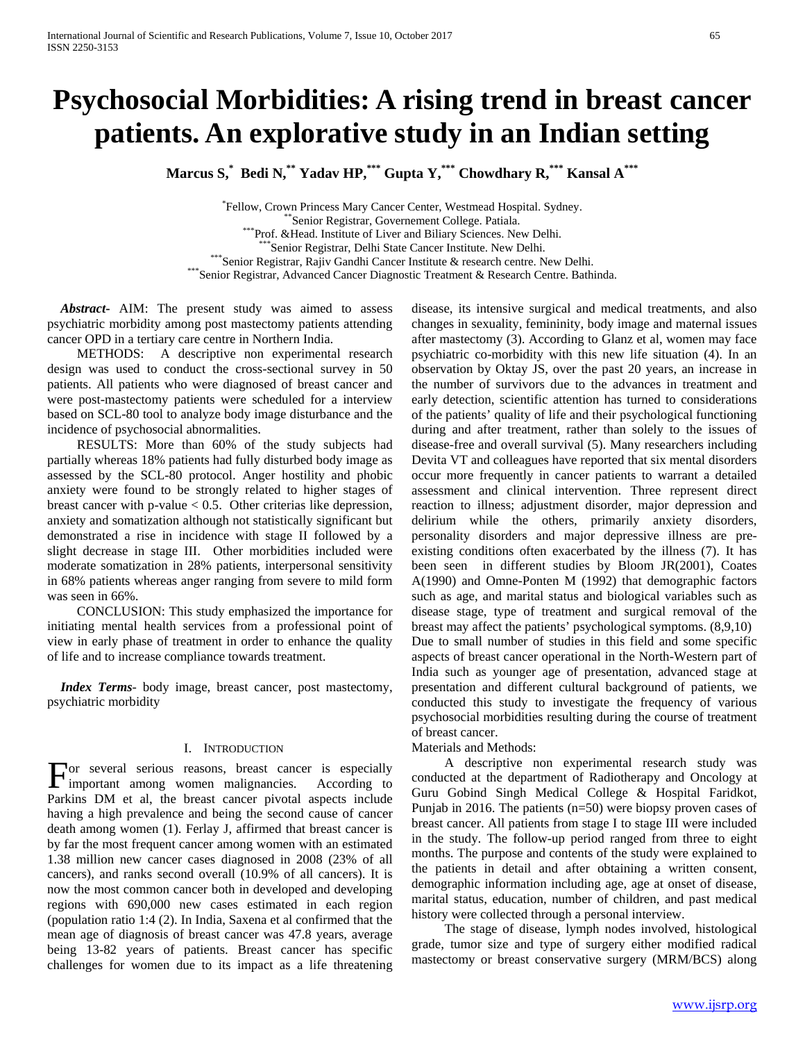# **Psychosocial Morbidities: A rising trend in breast cancer patients. An explorative study in an Indian setting**

**Marcus S,\* Bedi N,\*\* Yadav HP,\*\*\* Gupta Y,\*\*\* Chowdhary R,\*\*\* Kansal A\*\*\***

"Fellow, Crown Princess Mary Cancer Center, Westmead Hospital. Sydney. \*\*Senior Registrar, Governement College. Patiala.<br>\*\*\*Prof. &Head. Institute of Liver and Biliary Sciences. New Delhi. \*\*\*Senior Registrar, Delhi State Cancer Institute. New Delhi.<br>\*\*\*Senior Registrar, Rajiv Gandhi Cancer Institute & research centre. New Delhi.<br>\*\*\*Senior Registrar, Advanced Cancer Diagnostic Treatment & Research Centre. Ba

 *Abstract***-** AIM: The present study was aimed to assess psychiatric morbidity among post mastectomy patients attending cancer OPD in a tertiary care centre in Northern India.

 METHODS: A descriptive non experimental research design was used to conduct the cross-sectional survey in 50 patients. All patients who were diagnosed of breast cancer and were post-mastectomy patients were scheduled for a interview based on SCL-80 tool to analyze body image disturbance and the incidence of psychosocial abnormalities.

 RESULTS: More than 60% of the study subjects had partially whereas 18% patients had fully disturbed body image as assessed by the SCL-80 protocol. Anger hostility and phobic anxiety were found to be strongly related to higher stages of breast cancer with p-value  $< 0.5$ . Other criterias like depression, anxiety and somatization although not statistically significant but demonstrated a rise in incidence with stage II followed by a slight decrease in stage III. Other morbidities included were moderate somatization in 28% patients, interpersonal sensitivity in 68% patients whereas anger ranging from severe to mild form was seen in 66%.

 CONCLUSION: This study emphasized the importance for initiating mental health services from a professional point of view in early phase of treatment in order to enhance the quality of life and to increase compliance towards treatment.

 *Index Terms*- body image, breast cancer, post mastectomy, psychiatric morbidity

### I. INTRODUCTION

or several serious reasons, breast cancer is especially For several serious reasons, breast cancer is especially important among women malignancies. According to Parkins DM et al, the breast cancer pivotal aspects include having a high prevalence and being the second cause of cancer death among women (1). Ferlay J, affirmed that breast cancer is by far the most frequent cancer among women with an estimated 1.38 million new cancer cases diagnosed in 2008 (23% of all cancers), and ranks second overall (10.9% of all cancers). It is now the most common cancer both in developed and developing regions with 690,000 new cases estimated in each region (population ratio 1:4 (2). In India, Saxena et al confirmed that the mean age of diagnosis of breast cancer was 47.8 years, average being 13-82 years of patients. Breast cancer has specific challenges for women due to its impact as a life threatening

disease, its intensive surgical and medical treatments, and also changes in sexuality, femininity, body image and maternal issues after mastectomy (3). According to Glanz et al, women may face psychiatric co-morbidity with this new life situation (4). In an observation by Oktay JS, over the past 20 years, an increase in the number of survivors due to the advances in treatment and early detection, scientific attention has turned to considerations of the patients' quality of life and their psychological functioning during and after treatment, rather than solely to the issues of disease-free and overall survival (5). Many researchers including Devita VT and colleagues have reported that six mental disorders occur more frequently in cancer patients to warrant a detailed assessment and clinical intervention. Three represent direct reaction to illness; adjustment disorder, major depression and delirium while the others, primarily anxiety disorders, personality disorders and major depressive illness are preexisting conditions often exacerbated by the illness (7). It has been seen in different studies by Bloom JR(2001), Coates A(1990) and Omne-Ponten M (1992) that demographic factors such as age, and marital status and biological variables such as disease stage, type of treatment and surgical removal of the breast may affect the patients' psychological symptoms. (8,9,10) Due to small number of studies in this field and some specific aspects of breast cancer operational in the North-Western part of India such as younger age of presentation, advanced stage at presentation and different cultural background of patients, we conducted this study to investigate the frequency of various psychosocial morbidities resulting during the course of treatment of breast cancer.

## Materials and Methods:

 A descriptive non experimental research study was conducted at the department of Radiotherapy and Oncology at Guru Gobind Singh Medical College & Hospital Faridkot, Punjab in 2016. The patients (n=50) were biopsy proven cases of breast cancer. All patients from stage I to stage III were included in the study. The follow-up period ranged from three to eight months. The purpose and contents of the study were explained to the patients in detail and after obtaining a written consent, demographic information including age, age at onset of disease, marital status, education, number of children, and past medical history were collected through a personal interview.

 The stage of disease, lymph nodes involved, histological grade, tumor size and type of surgery either modified radical mastectomy or breast conservative surgery (MRM/BCS) along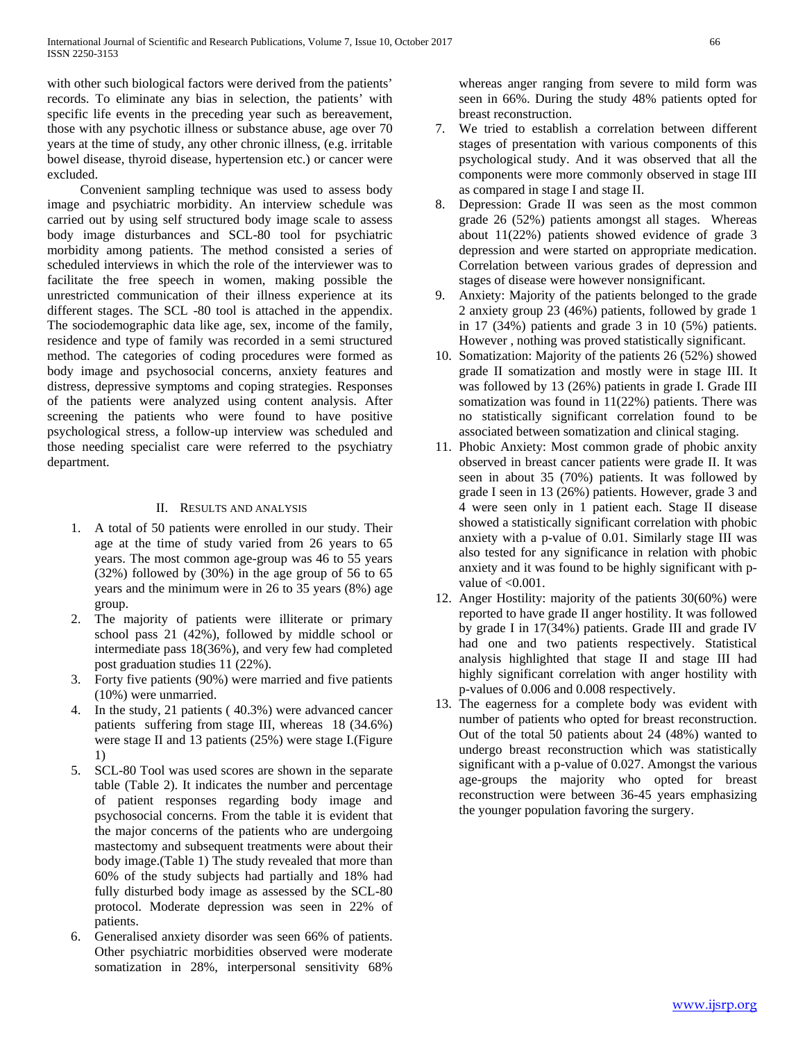with other such biological factors were derived from the patients' records. To eliminate any bias in selection, the patients' with specific life events in the preceding year such as bereavement, those with any psychotic illness or substance abuse, age over 70 years at the time of study, any other chronic illness, (e.g. irritable bowel disease, thyroid disease, hypertension etc.) or cancer were excluded.

 Convenient sampling technique was used to assess body image and psychiatric morbidity. An interview schedule was carried out by using self structured body image scale to assess body image disturbances and SCL-80 tool for psychiatric morbidity among patients. The method consisted a series of scheduled interviews in which the role of the interviewer was to facilitate the free speech in women, making possible the unrestricted communication of their illness experience at its different stages. The SCL -80 tool is attached in the appendix. The sociodemographic data like age, sex, income of the family, residence and type of family was recorded in a semi structured method. The categories of coding procedures were formed as body image and psychosocial concerns, anxiety features and distress, depressive symptoms and coping strategies. Responses of the patients were analyzed using content analysis. After screening the patients who were found to have positive psychological stress, a follow-up interview was scheduled and those needing specialist care were referred to the psychiatry department.

## II. RESULTS AND ANALYSIS

- 1. A total of 50 patients were enrolled in our study. Their age at the time of study varied from 26 years to 65 years. The most common age-group was 46 to 55 years (32%) followed by (30%) in the age group of 56 to 65 years and the minimum were in 26 to 35 years (8%) age group.
- 2. The majority of patients were illiterate or primary school pass 21 (42%), followed by middle school or intermediate pass 18(36%), and very few had completed post graduation studies 11 (22%).
- 3. Forty five patients (90%) were married and five patients (10%) were unmarried.
- 4. In the study, 21 patients ( 40.3%) were advanced cancer patients suffering from stage III, whereas 18 (34.6%) were stage II and 13 patients (25%) were stage I.(Figure 1)
- 5. SCL-80 Tool was used scores are shown in the separate table (Table 2). It indicates the number and percentage of patient responses regarding body image and psychosocial concerns. From the table it is evident that the major concerns of the patients who are undergoing mastectomy and subsequent treatments were about their body image.(Table 1) The study revealed that more than 60% of the study subjects had partially and 18% had fully disturbed body image as assessed by the SCL-80 protocol. Moderate depression was seen in 22% of patients.
- Generalised anxiety disorder was seen 66% of patients. Other psychiatric morbidities observed were moderate somatization in 28%, interpersonal sensitivity 68%

whereas anger ranging from severe to mild form was seen in 66%. During the study 48% patients opted for breast reconstruction.

- 7. We tried to establish a correlation between different stages of presentation with various components of this psychological study. And it was observed that all the components were more commonly observed in stage III as compared in stage I and stage II.
- 8. Depression: Grade II was seen as the most common grade 26 (52%) patients amongst all stages. Whereas about 11(22%) patients showed evidence of grade 3 depression and were started on appropriate medication. Correlation between various grades of depression and stages of disease were however nonsignificant.
- 9. Anxiety: Majority of the patients belonged to the grade 2 anxiety group 23 (46%) patients, followed by grade 1 in 17 (34%) patients and grade 3 in 10 (5%) patients. However , nothing was proved statistically significant.
- 10. Somatization: Majority of the patients 26 (52%) showed grade II somatization and mostly were in stage III. It was followed by 13 (26%) patients in grade I. Grade III somatization was found in 11(22%) patients. There was no statistically significant correlation found to be associated between somatization and clinical staging.
- 11. Phobic Anxiety: Most common grade of phobic anxity observed in breast cancer patients were grade II. It was seen in about 35 (70%) patients. It was followed by grade I seen in 13 (26%) patients. However, grade 3 and 4 were seen only in 1 patient each. Stage II disease showed a statistically significant correlation with phobic anxiety with a p-value of 0.01. Similarly stage III was also tested for any significance in relation with phobic anxiety and it was found to be highly significant with pvalue of  $<0.001$ .
- 12. Anger Hostility: majority of the patients 30(60%) were reported to have grade II anger hostility. It was followed by grade I in 17(34%) patients. Grade III and grade IV had one and two patients respectively. Statistical analysis highlighted that stage II and stage III had highly significant correlation with anger hostility with p-values of 0.006 and 0.008 respectively.
- 13. The eagerness for a complete body was evident with number of patients who opted for breast reconstruction. Out of the total 50 patients about 24 (48%) wanted to undergo breast reconstruction which was statistically significant with a p-value of 0.027. Amongst the various age-groups the majority who opted for breast reconstruction were between 36-45 years emphasizing the younger population favoring the surgery.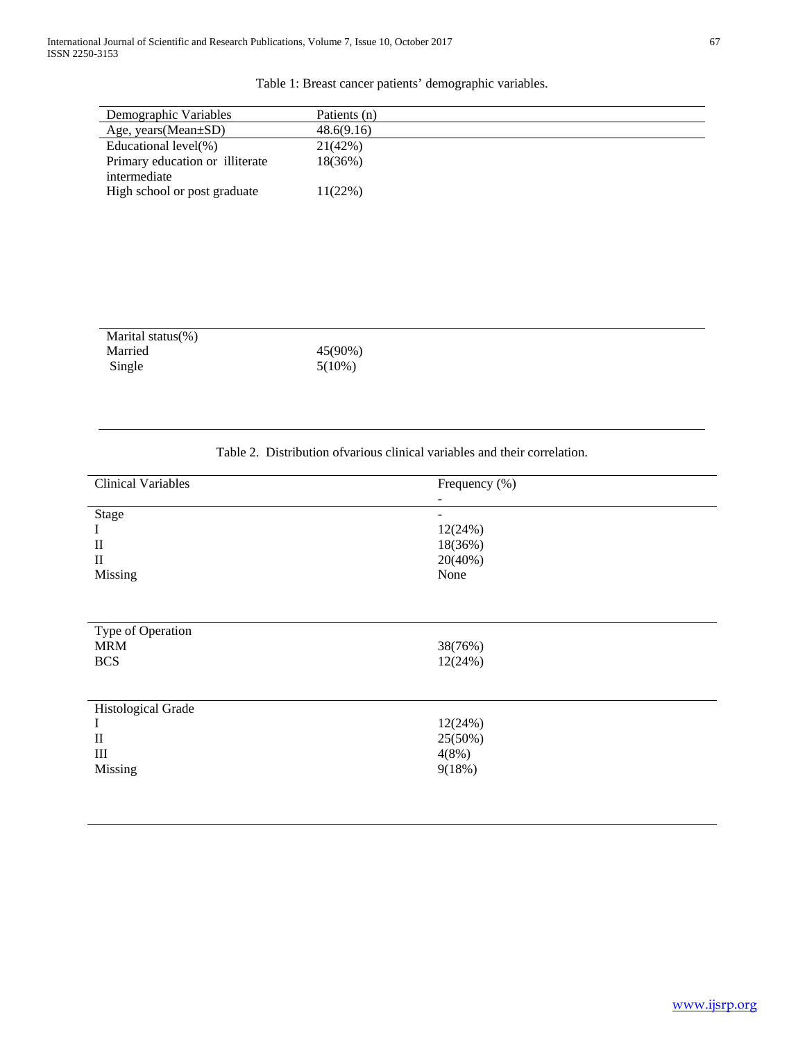# Table 1: Breast cancer patients' demographic variables.

| Demographic Variables           | Patients (n) |
|---------------------------------|--------------|
| Age, years (Mean $\pm SD$ )     | 48.6(9.16)   |
| Educational level(%)            | 21(42%)      |
| Primary education or illiterate | 18(36%)      |
| intermediate                    |              |
| High school or post graduate    | 11(22%)      |
|                                 |              |

| Marital status $(\%)$ |           |
|-----------------------|-----------|
| Married               | 45(90%)   |
| Single                | $5(10\%)$ |

# Table 2. Distribution ofvarious clinical variables and their correlation.

| <b>Clinical Variables</b>                                                          | Frequency (%)                                                     |
|------------------------------------------------------------------------------------|-------------------------------------------------------------------|
| Stage<br>1<br>$\mathbf{I}$<br>$\mathbf{I}$<br>Missing                              | $\overline{\phantom{a}}$<br>12(24%)<br>18(36%)<br>20(40%)<br>None |
| Type of Operation<br><b>MRM</b><br><b>BCS</b>                                      | 38(76%)<br>12(24%)                                                |
| <b>Histological Grade</b><br>$\bf{l}$<br>$\mathbf{I}$<br>$\mathbf{III}$<br>Missing | 12(24%)<br>25(50%)<br>4(8%)<br>9(18%)                             |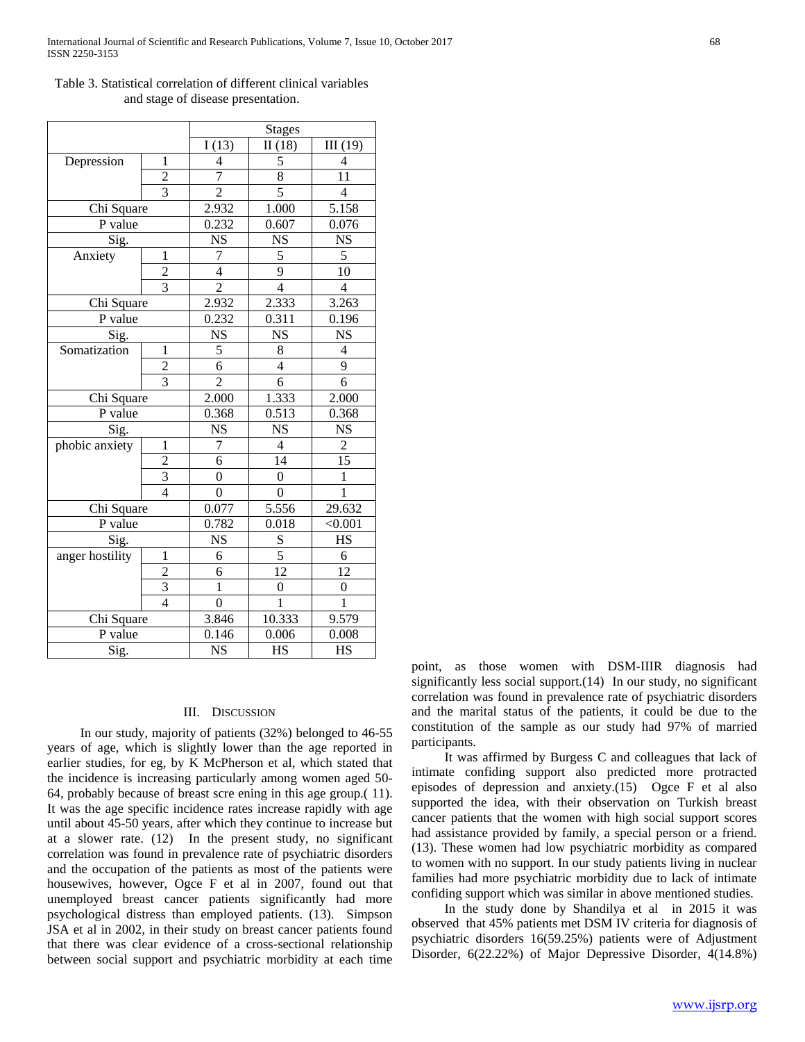|                 |                         | <b>Stages</b>    |                         |                        |
|-----------------|-------------------------|------------------|-------------------------|------------------------|
|                 |                         | I(13)            | II(18)                  | III(19)                |
| Depression      | 1                       | 4                | 5                       | 4                      |
|                 | $\overline{c}$          | $\overline{7}$   | $\overline{8}$          | 11                     |
|                 | $\overline{3}$          | $\overline{2}$   | $\overline{5}$          | $\overline{4}$         |
| Chi Square      |                         | 2.932            | 1.000                   | 5.158                  |
| P value         |                         | 0.232            | 0.607                   | 0.076                  |
| Sig.            |                         | <b>NS</b>        | <b>NS</b>               | <b>NS</b>              |
| Anxiety         | $\mathbf{1}$            | $\overline{7}$   | 5                       | 5                      |
|                 | $rac{2}{3}$             | $\overline{4}$   | 9                       | 10                     |
|                 |                         | $\overline{2}$   | $\overline{4}$          | $\overline{4}$         |
| Chi Square      |                         | 2.932            | 2.333                   | 3.263                  |
| P value         |                         | 0.232            | 0.311                   | 0.196                  |
| Sig.            |                         | $N\overline{S}$  | $\overline{\text{NS}}$  | $\overline{\text{NS}}$ |
| Somatization    | 1                       | 5                | 8                       | 4                      |
|                 | $\overline{\mathbf{c}}$ | $\overline{6}$   | $\overline{\mathbf{4}}$ | 9                      |
|                 | $\overline{3}$          | $\overline{2}$   | 6                       | $\overline{6}$         |
| Chi Square      |                         | 2.000            | 1.333                   | 2.000                  |
| P value         |                         | 0.368            | 0.513                   | 0.368                  |
| Sig.            |                         | <b>NS</b>        | <b>NS</b>               | <b>NS</b>              |
| phobic anxiety  | $\mathbf{1}$            | $\overline{7}$   | $\overline{4}$          | $\boldsymbol{2}$       |
|                 | $\overline{c}$          | 6                | 14                      | 15                     |
|                 | $\overline{3}$          | $\boldsymbol{0}$ | $\boldsymbol{0}$        | $\mathbf{1}$           |
|                 | $\overline{4}$          | $\overline{0}$   | $\overline{0}$          | $\overline{1}$         |
| Chi Square      |                         | 0.077            | 5.556                   | 29.632                 |
| P value         |                         | 0.782            | 0.018                   | < 0.001                |
| Sig.            |                         | <b>NS</b>        |                         | <b>HS</b>              |
| anger hostility | $\mathbf{1}$            | 6                | $rac{S}{5}$             | 6                      |
|                 | $\overline{c}$          | 6                | $\overline{12}$         | 12                     |
|                 | $\overline{\mathbf{3}}$ | $\mathbf{1}$     | $\boldsymbol{0}$        | $\boldsymbol{0}$       |
|                 | $\overline{4}$          | $\overline{0}$   | $\overline{1}$          | $\overline{1}$         |
| Chi Square      |                         | 3.846            | 10.333                  | 9.579                  |
| P value         |                         | 0.146            | 0.006                   | 0.008                  |
| Sig.            |                         | <b>NS</b>        | HS                      | <b>HS</b>              |

Table 3. Statistical correlation of different clinical variables and stage of disease presentation.

## III. DISCUSSION

 In our study, majority of patients (32%) belonged to 46-55 years of age, which is slightly lower than the age reported in earlier studies, for eg, by K McPherson et al, which stated that the incidence is increasing particularly among women aged 50- 64, probably because of breast scre ening in this age group.( 11). It was the age specific incidence rates increase rapidly with age until about 45-50 years, after which they continue to increase but at a slower rate. (12) In the present study, no significant correlation was found in prevalence rate of psychiatric disorders and the occupation of the patients as most of the patients were housewives, however, Ogce F et al in 2007, found out that unemployed breast cancer patients significantly had more psychological distress than employed patients. (13). Simpson JSA et al in 2002, in their study on breast cancer patients found that there was clear evidence of a cross-sectional relationship between social support and psychiatric morbidity at each time

point, as those women with DSM-IIIR diagnosis had significantly less social support.(14) In our study, no significant correlation was found in prevalence rate of psychiatric disorders and the marital status of the patients, it could be due to the constitution of the sample as our study had 97% of married participants.

 It was affirmed by Burgess C and colleagues that lack of intimate confiding support also predicted more protracted episodes of depression and anxiety.(15) Ogce F et al also supported the idea, with their observation on Turkish breast cancer patients that the women with high social support scores had assistance provided by family, a special person or a friend. (13). These women had low psychiatric morbidity as compared to women with no support. In our study patients living in nuclear families had more psychiatric morbidity due to lack of intimate confiding support which was similar in above mentioned studies.

 In the study done by Shandilya et al in 2015 it was observed that 45% patients met DSM IV criteria for diagnosis of psychiatric disorders 16(59.25%) patients were of Adjustment Disorder, 6(22.22%) of Major Depressive Disorder, 4(14.8%)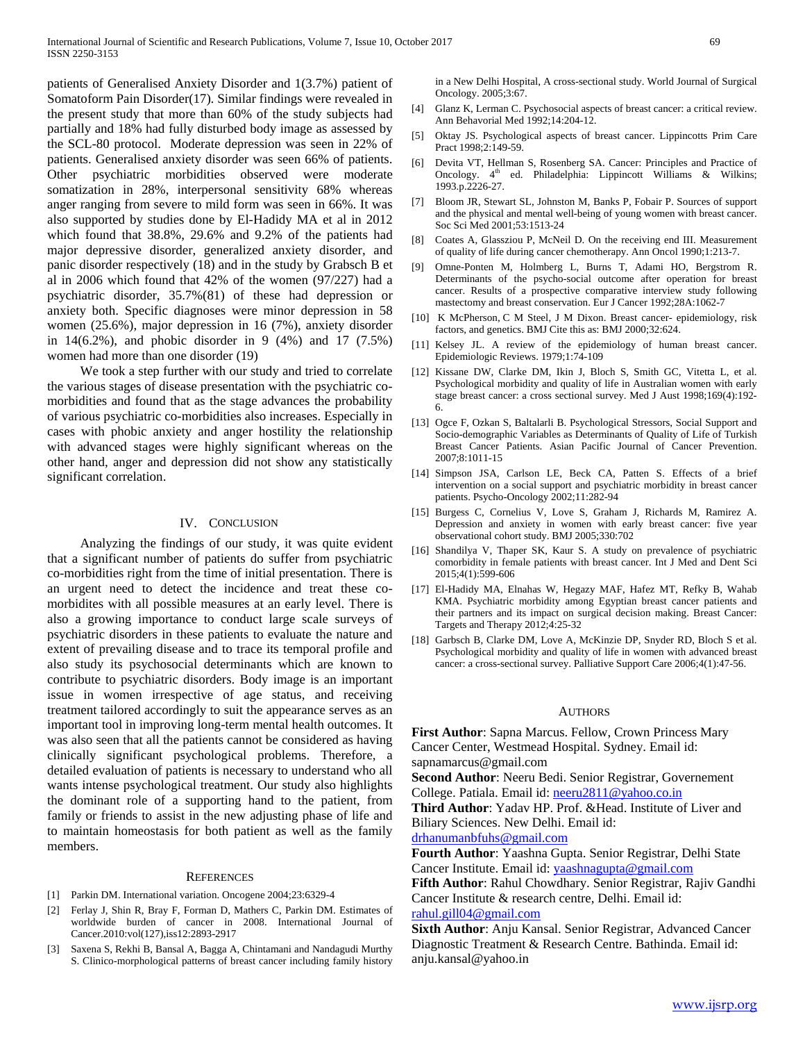patients of Generalised Anxiety Disorder and 1(3.7%) patient of Somatoform Pain Disorder(17). Similar findings were revealed in the present study that more than 60% of the study subjects had partially and 18% had fully disturbed body image as assessed by the SCL-80 protocol. Moderate depression was seen in 22% of patients. Generalised anxiety disorder was seen 66% of patients. Other psychiatric morbidities observed were moderate somatization in 28%, interpersonal sensitivity 68% whereas anger ranging from severe to mild form was seen in 66%. It was also supported by studies done by El-Hadidy MA et al in 2012 which found that 38.8%, 29.6% and 9.2% of the patients had major depressive disorder, generalized anxiety disorder, and panic disorder respectively (18) and in the study by Grabsch B et al in 2006 which found that 42% of the women (97/227) had a psychiatric disorder, 35.7%(81) of these had depression or anxiety both. Specific diagnoses were minor depression in 58 women (25.6%), major depression in 16 (7%), anxiety disorder in 14(6.2%), and phobic disorder in 9 (4%) and 17 (7.5%) women had more than one disorder (19)

 We took a step further with our study and tried to correlate the various stages of disease presentation with the psychiatric comorbidities and found that as the stage advances the probability of various psychiatric co-morbidities also increases. Especially in cases with phobic anxiety and anger hostility the relationship with advanced stages were highly significant whereas on the other hand, anger and depression did not show any statistically significant correlation.

## IV. CONCLUSION

 Analyzing the findings of our study, it was quite evident that a significant number of patients do suffer from psychiatric co-morbidities right from the time of initial presentation. There is an urgent need to detect the incidence and treat these comorbidites with all possible measures at an early level. There is also a growing importance to conduct large scale surveys of psychiatric disorders in these patients to evaluate the nature and extent of prevailing disease and to trace its temporal profile and also study its psychosocial determinants which are known to contribute to psychiatric disorders. Body image is an important issue in women irrespective of age status, and receiving treatment tailored accordingly to suit the appearance serves as an important tool in improving long-term mental health outcomes. It was also seen that all the patients cannot be considered as having clinically significant psychological problems. Therefore, a detailed evaluation of patients is necessary to understand who all wants intense psychological treatment. Our study also highlights the dominant role of a supporting hand to the patient, from family or friends to assist in the new adjusting phase of life and to maintain homeostasis for both patient as well as the family members.

#### **REFERENCES**

- [1] Parkin DM. International variation. Oncogene 2004;23:6329-4
- [2] Ferlay J, Shin R, Bray F, Forman D, Mathers C, Parkin DM. Estimates of worldwide burden of cancer in 2008. International Journal of Cancer.2010:vol(127),iss12:2893-2917
- [3] Saxena S, Rekhi B, Bansal A, Bagga A, Chintamani and Nandagudi Murthy S. Clinico-morphological patterns of breast cancer including family history

in a New Delhi Hospital, A cross-sectional study. World Journal of Surgical Oncology. 2005;3:67.

- [4] Glanz K, Lerman C. Psychosocial aspects of breast cancer: a critical review. Ann Behavorial Med 1992;14:204-12.
- [5] Oktay JS. Psychological aspects of breast cancer. Lippincotts Prim Care Pract 1998;2:149-59.
- [6] Devita VT, Hellman S, Rosenberg SA. Cancer: Principles and Practice of Oncology. 4<sup>th</sup> ed. Philadelphia: Lippincott Williams & Wilkins; 1993.p.2226-27.
- [7] Bloom JR, Stewart SL, Johnston M, Banks P, Fobair P. Sources of support and the physical and mental well-being of young women with breast cancer. Soc Sci Med 2001;53:1513-24
- [8] Coates A, Glassziou P, McNeil D. On the receiving end III. Measurement of quality of life during cancer chemotherapy. Ann Oncol 1990;1:213-7.
- [9] Omne-Ponten M, Holmberg L, Burns T, Adami HO, Bergstrom R. Determinants of the psycho-social outcome after operation for breast cancer. Results of a prospective comparative interview study following mastectomy and breast conservation. Eur J Cancer 1992;28A:1062-7
- [10] K McPherson, C M Steel, J M Dixon. Breast cancer- epidemiology, risk factors, and genetics. BMJ Cite this as: BMJ 2000;32:624.
- [11] Kelsey JL. A review of the epidemiology of human breast cancer. Epidemiologic Reviews. 1979;1:74-109
- [12] Kissane DW, Clarke DM, Ikin J, Bloch S, Smith GC, Vitetta L, et al. Psychological morbidity and quality of life in Australian women with early stage breast cancer: a cross sectional survey. Med J Aust 1998;169(4):192- 6.
- [13] Ogce F, Ozkan S, Baltalarli B. Psychological Stressors, Social Support and Socio-demographic Variables as Determinants of Quality of Life of Turkish Breast Cancer Patients. Asian Pacific Journal of Cancer Prevention. 2007;8:1011-15
- [14] Simpson JSA, Carlson LE, Beck CA, Patten S. Effects of a brief intervention on a social support and psychiatric morbidity in breast cancer patients. Psycho-Oncology 2002;11:282-94
- [15] Burgess C, Cornelius V, Love S, Graham J, Richards M, Ramirez A. Depression and anxiety in women with early breast cancer: five year observational cohort study. BMJ 2005;330:702
- [16] Shandilya V, Thaper SK, Kaur S. A study on prevalence of psychiatric comorbidity in female patients with breast cancer. Int J Med and Dent Sci 2015;4(1):599-606
- [17] El-Hadidy MA, Elnahas W, Hegazy MAF, Hafez MT, Refky B, Wahab KMA. Psychiatric morbidity among Egyptian breast cancer patients and their partners and its impact on surgical decision making. Breast Cancer: Targets and Therapy 2012;4:25-32
- [18] Garbsch B, Clarke DM, Love A, McKinzie DP, Snyder RD, Bloch S et al. Psychological morbidity and quality of life in women with advanced breast cancer: a cross-sectional survey. Palliative Support Care 2006;4(1):47-56.

#### AUTHORS

**First Author**: Sapna Marcus. Fellow, Crown Princess Mary Cancer Center, Westmead Hospital. Sydney. Email id: sapnamarcus@gmail.com

**Second Author**: Neeru Bedi. Senior Registrar, Governement College. Patiala. Email id: [neeru2811@yahoo.co.in](mailto:neeru2811@yahoo.co.in)

**Third Author**: Yadav HP. Prof. &Head. Institute of Liver and Biliary Sciences. New Delhi. Email id:

[drhanumanbfuhs@gmail.com](mailto:drhanumanbfuhs@gmail.com)

**Fourth Author**: Yaashna Gupta. Senior Registrar, Delhi State Cancer Institute. Email id: [yaashnagupta@gmail.com](mailto:yaashnagupta@gmail.com)

**Fifth Author**: Rahul Chowdhary. Senior Registrar, Rajiv Gandhi Cancer Institute & research centre, Delhi. Email id: [rahul.gill04@gmail.com](mailto:rahul.gill04@gmail.com)

**Sixth Author**: Anju Kansal. Senior Registrar, Advanced Cancer Diagnostic Treatment & Research Centre. Bathinda. Email id: anju.kansal@yahoo.in